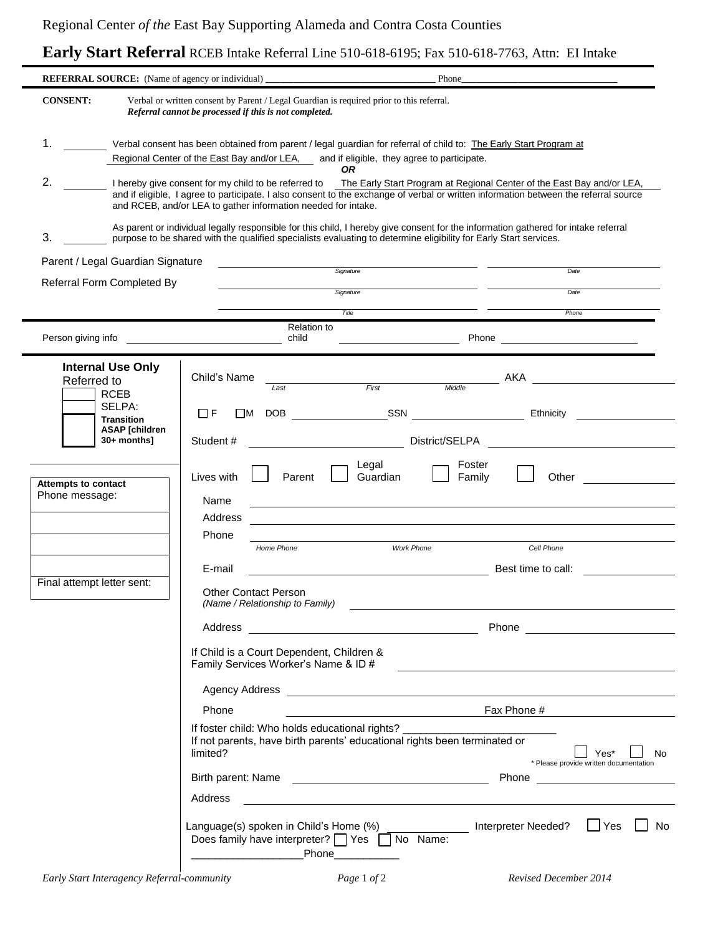## **Early Start Referral** RCEB Intake Referral Line 510-618-6195; Fax 510-618-7763, Attn: EI Intake

| REFERRAL SOURCE: (Name of agency or individual) ________________________________<br>Phone_                                                                                                                                                                                                                                                 |                                                                                                                                                                                                              |                                  |  |  |  |  |  |
|--------------------------------------------------------------------------------------------------------------------------------------------------------------------------------------------------------------------------------------------------------------------------------------------------------------------------------------------|--------------------------------------------------------------------------------------------------------------------------------------------------------------------------------------------------------------|----------------------------------|--|--|--|--|--|
| Verbal or written consent by Parent / Legal Guardian is required prior to this referral.<br><b>CONSENT:</b><br>Referral cannot be processed if this is not completed.                                                                                                                                                                      |                                                                                                                                                                                                              |                                  |  |  |  |  |  |
| 1.<br>Verbal consent has been obtained from parent / legal guardian for referral of child to: The Early Start Program at<br>Regional Center of the East Bay and/or LEA, and if eligible, they agree to participate.<br><b>OR</b>                                                                                                           |                                                                                                                                                                                                              |                                  |  |  |  |  |  |
| 2.<br>I hereby give consent for my child to be referred to The Early Start Program at Regional Center of the East Bay and/or LEA,<br>and if eligible, I agree to participate. I also consent to the exchange of verbal or written information between the referral source<br>and RCEB, and/or LEA to gather information needed for intake. |                                                                                                                                                                                                              |                                  |  |  |  |  |  |
| As parent or individual legally responsible for this child, I hereby give consent for the information gathered for intake referral<br>3.<br>purpose to be shared with the qualified specialists evaluating to determine eligibility for Early Start services.                                                                              |                                                                                                                                                                                                              |                                  |  |  |  |  |  |
| Parent / Legal Guardian Signature                                                                                                                                                                                                                                                                                                          | Signature                                                                                                                                                                                                    | Date                             |  |  |  |  |  |
| Referral Form Completed By                                                                                                                                                                                                                                                                                                                 | Signature                                                                                                                                                                                                    | Date                             |  |  |  |  |  |
|                                                                                                                                                                                                                                                                                                                                            |                                                                                                                                                                                                              |                                  |  |  |  |  |  |
|                                                                                                                                                                                                                                                                                                                                            | Title                                                                                                                                                                                                        | Phone                            |  |  |  |  |  |
| Person giving info                                                                                                                                                                                                                                                                                                                         | <b>Relation to</b><br>Phone<br>child                                                                                                                                                                         |                                  |  |  |  |  |  |
| <b>Internal Use Only</b><br>Referred to<br><b>RCEB</b>                                                                                                                                                                                                                                                                                     | Child's Name<br>Middle<br>First<br>Last                                                                                                                                                                      | AKA                              |  |  |  |  |  |
| SELPA:                                                                                                                                                                                                                                                                                                                                     | <b>SSN</b><br>ПF<br>l M<br>DOB                                                                                                                                                                               | Ethnicity                        |  |  |  |  |  |
| <b>Transition</b><br><b>ASAP</b> [children<br>30+ months]                                                                                                                                                                                                                                                                                  | District/SELPA<br>Student#                                                                                                                                                                                   |                                  |  |  |  |  |  |
|                                                                                                                                                                                                                                                                                                                                            | Legal<br>Foster                                                                                                                                                                                              |                                  |  |  |  |  |  |
| <b>Attempts to contact</b><br>Phone message:                                                                                                                                                                                                                                                                                               | Guardian<br>Lives with<br>Parent<br>Family<br>Name                                                                                                                                                           | Other                            |  |  |  |  |  |
|                                                                                                                                                                                                                                                                                                                                            | Address                                                                                                                                                                                                      |                                  |  |  |  |  |  |
|                                                                                                                                                                                                                                                                                                                                            | Phone                                                                                                                                                                                                        |                                  |  |  |  |  |  |
|                                                                                                                                                                                                                                                                                                                                            | Home Phone<br><b>Work Phone</b>                                                                                                                                                                              | Cell Phone                       |  |  |  |  |  |
|                                                                                                                                                                                                                                                                                                                                            | E-mail                                                                                                                                                                                                       | Best time to call:               |  |  |  |  |  |
| Final attempt letter sent:                                                                                                                                                                                                                                                                                                                 | <b>Other Contact Person</b><br>(Name / Relationship to Family)                                                                                                                                               |                                  |  |  |  |  |  |
|                                                                                                                                                                                                                                                                                                                                            | Address                                                                                                                                                                                                      | Phone <u>___________________</u> |  |  |  |  |  |
| If Child is a Court Dependent, Children &<br>Family Services Worker's Name & ID #                                                                                                                                                                                                                                                          |                                                                                                                                                                                                              |                                  |  |  |  |  |  |
|                                                                                                                                                                                                                                                                                                                                            |                                                                                                                                                                                                              |                                  |  |  |  |  |  |
|                                                                                                                                                                                                                                                                                                                                            | <b>Example 11</b> Fax Phone #<br>Phone                                                                                                                                                                       |                                  |  |  |  |  |  |
|                                                                                                                                                                                                                                                                                                                                            |                                                                                                                                                                                                              |                                  |  |  |  |  |  |
|                                                                                                                                                                                                                                                                                                                                            | If foster child: Who holds educational rights? ____________<br>If not parents, have birth parents' educational rights been terminated or<br>limited?<br>Yes*<br>No<br>* Please provide written documentation |                                  |  |  |  |  |  |
|                                                                                                                                                                                                                                                                                                                                            |                                                                                                                                                                                                              | Phone                            |  |  |  |  |  |
|                                                                                                                                                                                                                                                                                                                                            | Address<br><u> 1989 - John Stein, Amerikaansk politiker (</u> † 1920)                                                                                                                                        |                                  |  |  |  |  |  |
|                                                                                                                                                                                                                                                                                                                                            | Language(s) spoken in Child's Home (%) ________________ Interpreter Needed? LJ Yes<br>Does family have interpreter?   Yes   No Name:<br>Phone___________                                                     | No.                              |  |  |  |  |  |